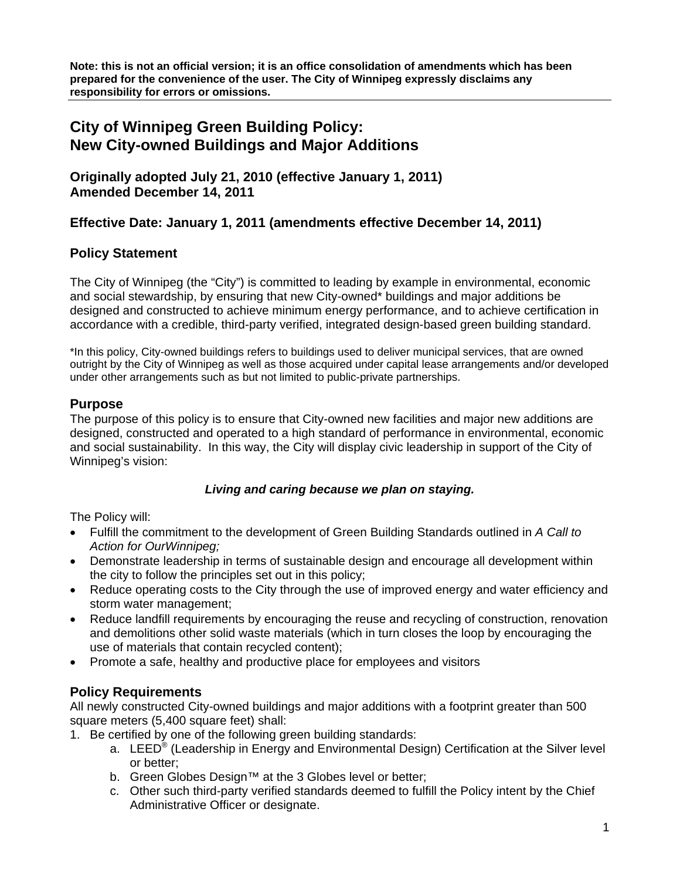**Note: this is not an official version; it is an office consolidation of amendments which has been prepared for the convenience of the user. The City of Winnipeg expressly disclaims any responsibility for errors or omissions.** 

# **City of Winnipeg Green Building Policy: New City-owned Buildings and Major Additions**

**Originally adopted July 21, 2010 (effective January 1, 2011) Amended December 14, 2011** 

# **Effective Date: January 1, 2011 (amendments effective December 14, 2011)**

## **Policy Statement**

The City of Winnipeg (the "City") is committed to leading by example in environmental, economic and social stewardship, by ensuring that new City-owned\* buildings and major additions be designed and constructed to achieve minimum energy performance, and to achieve certification in accordance with a credible, third-party verified, integrated design-based green building standard.

\*In this policy, City-owned buildings refers to buildings used to deliver municipal services, that are owned outright by the City of Winnipeg as well as those acquired under capital lease arrangements and/or developed under other arrangements such as but not limited to public-private partnerships.

#### **Purpose**

The purpose of this policy is to ensure that City-owned new facilities and major new additions are designed, constructed and operated to a high standard of performance in environmental, economic and social sustainability. In this way, the City will display civic leadership in support of the City of Winnipeg's vision:

#### *Living and caring because we plan on staying.*

The Policy will:

- Fulfill the commitment to the development of Green Building Standards outlined in *A Call to Action for OurWinnipeg;*
- Demonstrate leadership in terms of sustainable design and encourage all development within the city to follow the principles set out in this policy;
- Reduce operating costs to the City through the use of improved energy and water efficiency and storm water management;
- Reduce landfill requirements by encouraging the reuse and recycling of construction, renovation and demolitions other solid waste materials (which in turn closes the loop by encouraging the use of materials that contain recycled content);
- Promote a safe, healthy and productive place for employees and visitors

## **Policy Requirements**

All newly constructed City-owned buildings and major additions with a footprint greater than 500 square meters (5,400 square feet) shall:

- 1. Be certified by one of the following green building standards:
	- a. LEED® (Leadership in Energy and Environmental Design) Certification at the Silver level or better;
	- b. Green Globes Design™ at the 3 Globes level or better;
	- c. Other such third-party verified standards deemed to fulfill the Policy intent by the Chief Administrative Officer or designate.